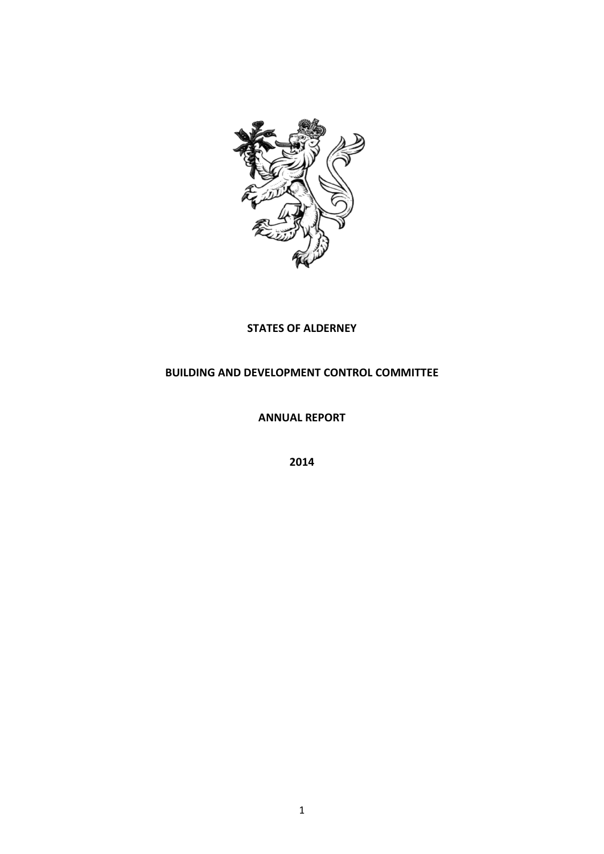

## **STATES OF ALDERNEY**

## **BUILDING AND DEVELOPMENT CONTROL COMMITTEE**

**ANNUAL REPORT**

**2014**